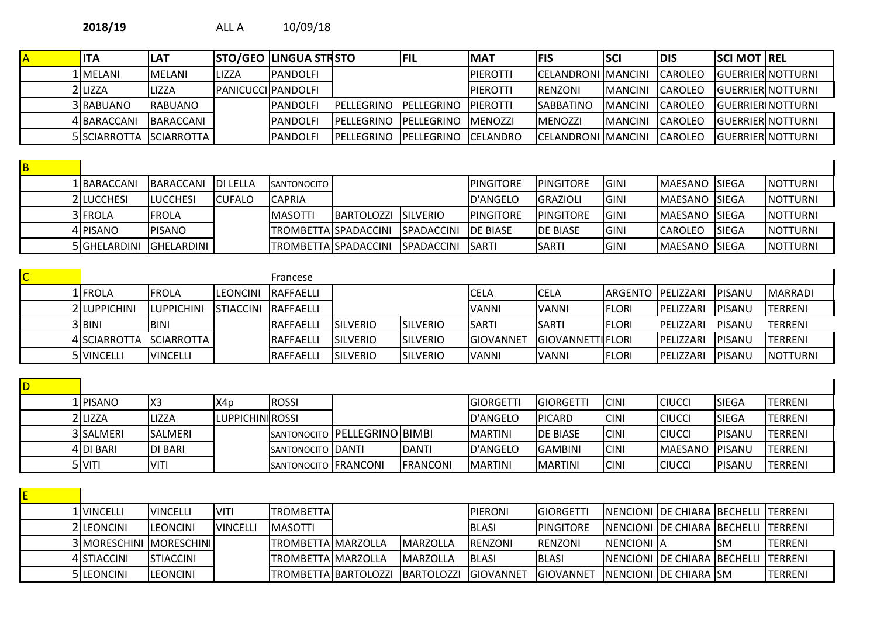|  | <b>ITA</b>              | LAT            |                                  | <b>STO/GEO LINGUA STRSTO</b> | FIL                               | <b>MAT</b> | <b>FIS</b>                | <b>SCI</b>      | <b>DIS</b>      | <b>ISCI MOT IREL</b> |                           |
|--|-------------------------|----------------|----------------------------------|------------------------------|-----------------------------------|------------|---------------------------|-----------------|-----------------|----------------------|---------------------------|
|  | 1 MELANI                | IMELANI        | LIZZA                            | <b>IPANDOLFI</b>             |                                   | IPIEROTTI  | ICELANDRONI IMANCINI      |                 | ICAROLEO        |                      | <b>IGUERRIERINOTTURNI</b> |
|  | 2 LIZZA                 | LIZZA          | <i><b>PANICUCCI PANDOLFI</b></i> |                              |                                   | IPIEROTTI  | <b>IRENZONI</b>           | <b>IMANCINI</b> | <b>ICAROLEO</b> |                      | <b>IGUERRIERINOTTURNI</b> |
|  | 3 RABUANO               | <b>RABUANO</b> |                                  | <b>IPANDOLFI</b>             | PELLEGRINO PELLEGRINO PIEROTTI    |            | <b>SABBATINO</b>          | IMANCINI        | <b>ICAROLEO</b> |                      | <b>IGUERRIER NOTTURNI</b> |
|  | 4 BARACCANI             | BARACCANI      |                                  | <b>IPANDOLFI</b>             | PELLEGRINO PELLEGRINO MENOZZI     |            | <b>IMENOZZI</b>           | IMANCINI        | <b>ICAROLEO</b> |                      | <b>IGUERRIERINOTTURNI</b> |
|  | 5 SCIARROTTA SCIARROTTA |                |                                  | <b>IPANDOLFI</b>             | IPELLEGRINO IPELLEGRINO ICELANDRO |            | <b>CELANDRONI MANCINI</b> |                 | <b>ICAROLEO</b> |                      | <b>IGUERRIERINOTTURNI</b> |

| B |              |                    |         |                       |                              |                     |                   |                   |             |                        |              |                  |
|---|--------------|--------------------|---------|-----------------------|------------------------------|---------------------|-------------------|-------------------|-------------|------------------------|--------------|------------------|
|   | 1 BARACCANI  | BARACCANI DI LELLA |         | <b>ISANTONOCITO I</b> |                              |                     | <b>IPINGITORE</b> | <b>IPINGITORE</b> | IGINI       | <b>IMAESANO ISIEGA</b> |              | <b>NOTTURNI</b>  |
|   | 2 LUCCHESI   | ILUCCHESI          | ICUFALO | <b>ICAPRIA</b>        |                              |                     | D'ANGELO          | <b>IGRAZIOLI</b>  | IGINI       | IMAESANO ISIEGA        |              | INOTTURNI        |
|   | 3 FROLA      | <b>FROLA</b>       |         | <b>IMASOTTI</b>       | <b>IBARTOLOZZI ISILVERIO</b> |                     | <b>IPINGITORE</b> | <b>IPINGITORE</b> | IGINI       | IMAESANO ISIEGA        |              | <b>INOTTURNI</b> |
|   | 4 PISANO     | IPISANO            |         |                       | ITROMBETTAISPADACCINI        | SPADACCINI DE BIASE |                   | <b>IDE BIASE</b>  | <b>GINI</b> | ICAROLEO               | <b>SIEGA</b> | <b>NOTTURNI</b>  |
|   | 5 GHELARDINI | -IGHELARDINI I     |         | ITROMBETTAISPADACCINI |                              | SPADACCINI SARTI    |                   | ISARTI            | lgini       | <b>IMAESANO ISIEGA</b> |              | INOTTURNI        |

| $\overline{\mathsf{C}}$ |                     |                    |                              | Francese          |                  |                  |                   |                          |                     |                   |                |                  |
|-------------------------|---------------------|--------------------|------------------------------|-------------------|------------------|------------------|-------------------|--------------------------|---------------------|-------------------|----------------|------------------|
|                         | 1 FROLA             | IFROLA             | ILEONCINI                    | IRAFFAELLI        |                  |                  | ICELA             | lcela                    | IARGENTO IPELIZZARI |                   | IPISANU        | <b>IMARRADI</b>  |
|                         | <b>2ILUPPICHINI</b> | <b>ILUPPICHINI</b> | <b>ISTIACCINI IRAFFAELLI</b> |                   |                  |                  | <b>IVANNI</b>     | IVANNI                   | <b>IFLORI</b>       | IPELIZZARI        | IPISANU        | TERRENI          |
|                         | 3 IBINI             | IBINI              |                              | <b>IRAFFAELLI</b> | <b>ISILVERIO</b> | <b>ISILVERIO</b> | <b>ISART</b>      | ISARTI                   | <b>IFLORI</b>       | PELIZZARI         | PISANU         | TERRENI          |
|                         | 4 SCIARROTTA        | SCIARROTTA I       |                              | <b>IRAFFAELLI</b> | <b>ISILVERIO</b> | <b>SILVERIO</b>  | <b>IGIOVANNET</b> | <b>IGIOVANNETTIFLORI</b> |                     | IPELIZZARI        | IPISANU        | <b>TERRENI</b>   |
|                         | <b>5</b> IVINCELLI  | <b>IVINCELLI</b>   |                              | <b>IRAFFAELLI</b> | <b>ISILVERIO</b> | <b>ISILVERIO</b> | <b>IVANNI</b>     | IVANNI                   | <b>FLORI</b>        | <b>IPELIZZARI</b> | <b>IPISANU</b> | <b>INOTTURNI</b> |

| L PISANO  | $ X_3$          | lX4p                    | <b>ROSSI</b>         |                              |                  | <b>IGIORGETT</b> | IGIORGETT        | ICINI       | iciucci         | <b>ISIEGA</b> | <b>TERRENI</b> |
|-----------|-----------------|-------------------------|----------------------|------------------------------|------------------|------------------|------------------|-------------|-----------------|---------------|----------------|
| 2 LIZZA   | <b>LIZZA</b>    | <b>ILUPPICHINIROSSI</b> |                      |                              |                  | <b>ID'ANGELO</b> | <b>PICARD</b>    | <b>CINI</b> | CIUCCI          | <b>SIEGA</b>  | <b>TERRENI</b> |
| 3 SALMERI | <b>ISALMERI</b> |                         |                      | SANTONOCITO PELLEGRINO BIMBI |                  | <b>IMARTINI</b>  | <b>IDE BIASE</b> | ICINI       | iciucci         | IPISANU       | <b>TERRENI</b> |
| 4IDI BARI | <b>IDI BARI</b> |                         | SANTONOCITO DANTI    |                              | IDANTI           | D'ANGELO         | <b>IGAMBINI</b>  | ICINI       | <b>IMAESANO</b> | IPISANU       | <b>TERRENI</b> |
| 5 VITI    | IVITI           |                         | SANTONOCITO FRANCONI |                              | <b>IFRANCONI</b> | <b>IMARTINI</b>  | <b>IMARTINI</b>  | <b>CINI</b> | CIUCC           | IPISANL       | <b>TERRENI</b> |

| 1 VINCELLI              | <b>IVINCELLI</b>  | <b>IVITI</b>     | <b>TROMBETTAI</b>         |                    | <b>IPIERONI</b> | <b>IGIORGETTI</b> |             | NENCIONI JDE CHIARA BECHELLI TERRENI |            |                |
|-------------------------|-------------------|------------------|---------------------------|--------------------|-----------------|-------------------|-------------|--------------------------------------|------------|----------------|
| 2 LEONCINI              | <b>ILEONCINI</b>  | <b>IVINCELLI</b> | <b>IMASOTTI</b>           |                    | <b>IBLASI</b>   | <b>IPINGITORE</b> |             | <b>INENCIONI IDE CHIARA BECHELLI</b> |            | ITERRENI       |
| 3 MORESCHINI MORESCHINI |                   |                  | ITROMBETTAIMARZOLLA       | IMARZOLLA          | <b>IRENZONI</b> | <b>RENZONI</b>    | NENCIONI IA |                                      | <b>ISM</b> | ITERRENI       |
| 4 STIACCINI             | <b>ISTIACCINI</b> |                  | <b>TROMBETTA MARZOLLA</b> | IMARZOLLA          | <b>IBLASI</b>   | <b>IBLASI</b>     |             | <b>INENCIONI IDE CHIARA BECHELLI</b> |            | ITERRENI       |
| 5 LEONCINI              | ILEONCINI         |                  | TROMBETTA BARTOLOZZI      | <b>IBARTOLOZZI</b> | IGIOVANNET      | <b>IGIOVANNET</b> |             | <b>INENCIONI DE CHIARA ISM</b>       |            | <b>TERRENI</b> |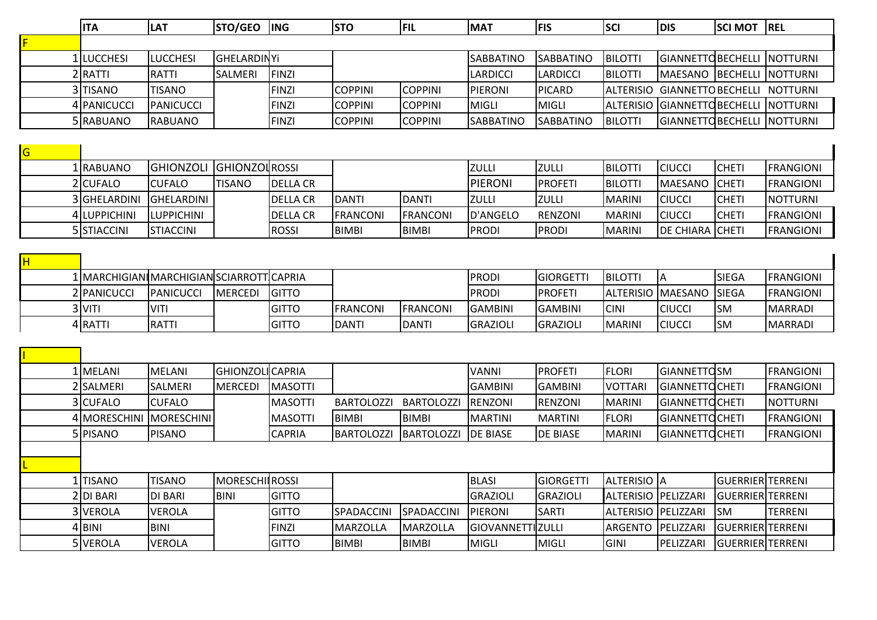|   | <b>ITA</b>                                      | LAT               | <b>STO/GEO</b>       | <b>ING</b>      | <b>STO</b>       | FIL            | <b>MAT</b>      | <b>FIS</b>       | <b>SCI</b>       | <b>DIS</b>                  | <b>SCI MOT</b> | <b>REL</b>       |
|---|-------------------------------------------------|-------------------|----------------------|-----------------|------------------|----------------|-----------------|------------------|------------------|-----------------------------|----------------|------------------|
|   |                                                 |                   |                      |                 |                  |                |                 |                  |                  |                             |                |                  |
|   | 1 LUCCHESI                                      | <b>LUCCHESI</b>   | lGHELARDINYi         |                 |                  |                | SABBATINO       | SABBATINO        | <b>BILOTTI</b>   | GIANNETTO BECHELLI          |                | <b>NOTTURNI</b>  |
|   | 2 RATTI                                         | RATTI             | <b>SALMERI</b>       | FINZI           |                  |                | <b>LARDICCI</b> | <b>LARDICCI</b>  | <b>BILOTTI</b>   | MAESANO BECHELLI NOTTURNI   |                |                  |
|   | 3 TISANO                                        | TISANO            |                      | FINZI           | <b>COPPINI</b>   | <b>COPPINI</b> | PIERONI         | <b>PICARD</b>    | <b>ALTERISIO</b> | <b>GIANNETTO BECHELLI</b>   |                | <b>NOTTURNI</b>  |
|   | 4 PANICUCCI                                     | <b>PANICUCCI</b>  |                      | FINZI           | <b>COPPINI</b>   | <b>COPPINI</b> | MIGLI           | MIGLI            | ALTERISIO        | <b>GIANNETTO BECHELLI</b>   |                | <b>NOTTURNI</b>  |
|   | 5 RABUANO                                       | <b>RABUANO</b>    |                      | FINZI           | <b>COPPINI</b>   | <b>COPPINI</b> | SABBATINO       | <b>SABBATINO</b> | <b>BILOTTI</b>   | GIANNETTOBECHELLI  NOTTURNI |                |                  |
|   |                                                 |                   |                      |                 |                  |                |                 |                  |                  |                             |                |                  |
| G |                                                 |                   |                      |                 |                  |                |                 |                  |                  |                             |                |                  |
|   | 1 RABUANO                                       | <b>GHIONZOLI</b>  | <b>GHIONZOLROSSI</b> |                 |                  |                | <b>ZULLI</b>    | <b>ZULLI</b>     | <b>BILOTTI</b>   | <b>CIUCCI</b>               | <b>CHETI</b>   | <b>FRANGIONI</b> |
|   | 2 CUFALO                                        | <b>CUFALO</b>     | <b>TISANO</b>        | <b>DELLA CR</b> |                  |                | <b>PIERONI</b>  | <b>PROFETI</b>   | <b>BILOTTI</b>   | <b>MAESANO</b>              | <b>CHETI</b>   | <b>FRANGIONI</b> |
|   | 3 GHELARDINI                                    | <b>GHELARDINI</b> |                      | <b>DELLA CR</b> | <b>DANTI</b>     | <b>DANTI</b>   | <b>ZULLI</b>    | <b>ZULLI</b>     | MARINI           | <b>CIUCCI</b>               | <b>CHETI</b>   | <b>NOTTURNI</b>  |
|   | 4 LUPPICHINI                                    | LUPPICHINI        |                      | <b>DELLA CR</b> | <b> FRANCONI</b> | FRANCONI       | D'ANGELO        | RENZONI          | <b>MARINI</b>    | <b>CIUCCI</b>               | <b>CHETI</b>   | <b>FRANGIONI</b> |
|   | 5 STIACCINI                                     | <b>STIACCINI</b>  |                      | ROSSI           | BIMBI            | BIMBI          | <b>PRODI</b>    | <b>PRODI</b>     | MARINI           | <b>DE CHIARA CHETI</b>      |                | <b>FRANGIONI</b> |
|   |                                                 |                   |                      |                 |                  |                |                 |                  |                  |                             |                |                  |
|   |                                                 |                   |                      |                 |                  |                |                 |                  |                  |                             |                |                  |
|   | 1   MARCHIGIAN    MARCHIGIAN SCIARROTT   CAPRIA |                   |                      |                 |                  |                | <b>PRODI</b>    | <b>GIORGETTI</b> | <b>BILOTTI</b>   | ΙA                          | <b>SIEGA</b>   | <b>FRANGIONI</b> |
|   | 2 PANICUCCI                                     | PANICUCCI         | <b>MERCEDI</b>       | <b>GITTO</b>    |                  |                | <b>PRODI</b>    | <b>PROFETI</b>   |                  | ALTERISIO  MAESANO  SIEGA   |                | <b>FRANGIONI</b> |

| 1 I MELANI              | <b>IMELANI</b> | <b>IGHIONZOLICAPRIA</b> |                 |                   |                    | <u> VANNI</u>            | <b>IPROFETI</b> | <b>FLORI</b>               | <b>GIANNETTOSM</b>    |                          | <b>IFRANGIONI</b> |
|-------------------------|----------------|-------------------------|-----------------|-------------------|--------------------|--------------------------|-----------------|----------------------------|-----------------------|--------------------------|-------------------|
| 2 SALMERI               | ISALMERI       | <b>MERCEDI</b>          | IMASOTTI        |                   |                    | IGAMBINI                 | <b>GAMBINI</b>  | IVOTTARI                   | <b>GIANNETTOCHETI</b> |                          | IFRANGIONI        |
| 3 CUFALO                | <b>ICUFALO</b> |                         | <b>IMASOTTI</b> | <b>BARTOLOZZ</b>  | <b>BARTOLOZZ</b>   | <b>IRENZONI</b>          | <b>IRENZONI</b> | <b>MARINI</b>              | IGIANNETTOCHETI       |                          | INOTTURNI         |
| 4 MORESCHINI MORESCHINI |                |                         | IMASOTTI        | IBIMBI            | <b>IBIMBI</b>      | IMARTINI                 | <b>MARTINI</b>  | <b>IFLORI</b>              | IGIANNETTOCHETI       |                          | IFRANGIONI        |
| 5 PISANO                | <b>PISANO</b>  |                         | <b>CAPRIA</b>   | <b>IBARTOLOZZ</b> | <b>IBARTOLOZZI</b> | <b>IDE BIASE</b>         | <b>DE BIASE</b> | MARINI                     | IGIANNETTOCHETI       |                          | IFRANGIONI        |
|                         |                |                         |                 |                   |                    |                          |                 |                            |                       |                          |                   |
|                         |                |                         |                 |                   |                    |                          |                 |                            |                       |                          |                   |
| l Tisano                | <b>TISANO</b>  | <b>IMORESCHILROSSI</b>  |                 |                   |                    | <b>BLASI</b>             | GIORGETTI       | ALTERISIO  A               |                       | <b>IGUERRIERITERRENI</b> |                   |
| 21DI BARI               | IDI BARI       | <b>BINI</b>             | <b>IGITTO</b>   |                   |                    | IGRAZIOLI                | <b>GRAZIOLI</b> | ALTERISIO IPELIZZARI       |                       | IGUERRIERITERRENI        |                   |
| 3 VEROLA                | VEROLA         |                         | <b>IGITTO</b>   | SPADACCINI        | SPADACCINI         | <b>PIERONI</b>           | <b>SARTI</b>    | <b>ALTERISIO PELIZZARI</b> |                       | ISM.                     | TERRENI           |
| 4 BINI                  | BINI           |                         | <b>FINZI</b>    | <b>MARZOLLA</b>   | MARZOLLA           | <b>GIOVANNETTI ZULLI</b> |                 | <b>ARGENTO</b>             | PELIZZARI             | IGUERRIERITERRENI        |                   |
| 5 VEROLA                | IVEROLA        |                         | <b>IGITTO</b>   | IBIMBI            | IBIMBI             | IMIGLI                   | <b>MIGLI</b>    | IGINI                      | PELIZZARI             | <b>GUERRIER TERRENI</b>  |                   |

3|VITI |VITI |GITTO |FRANCONI |FRANCONI |GAMBINI |GAMBINI |CINI |CIUCCI |SM |MARRADI 4|RATTI |KATTI |GITTO |DANTI |GRAZIOLI |GRAZIOLI |MARINI |CIUCCI |SM |MARRADI